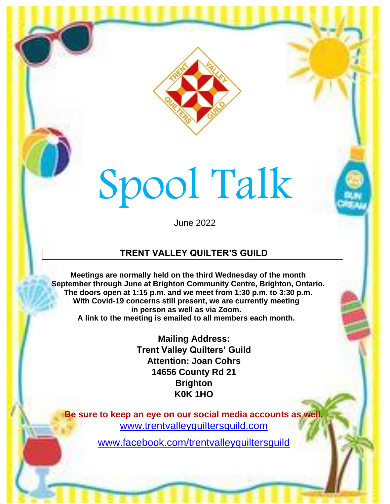

# Spool Talk

June 2022

### **TRENT VALLEY QUILTER'S GUILD**

**Meetings are normally held on the third Wednesday of the month September through June at Brighton Community Centre, Brighton, Ontario. The doors open at 1:15 p.m. and we meet from 1:30 p.m. to 3:30 p.m. With Covid-19 concerns still present, we are currently meeting in person as well as via Zoom. A link to the meeting is emailed to all members each month.**

> **Mailing Address: Trent Valley Quilters' Guild Attention: Joan Cohrs 14656 County Rd 21 Brighton K0K 1HO**

**Be sure to keep an eye on our social media accounts as well.** [www.trentvalleyquiltersguild.com](http://www.trentvalleyquiltersguild.com/)

www.facebook.com/trentvalleyquiltersguild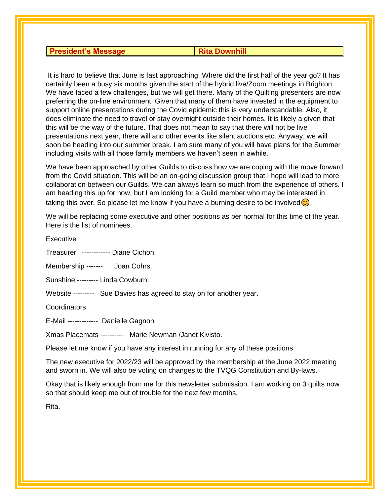#### **President's Message**  Rita Downhill

It is hard to believe that June is fast approaching. Where did the first half of the year go? It has certainly been a busy six months given the start of the hybrid live/Zoom meetings in Brighton. We have faced a few challenges, but we will get there. Many of the Quilting presenters are now preferring the on-line environment. Given that many of them have invested in the equipment to support online presentations during the Covid epidemic this is very understandable. Also, it does eliminate the need to travel or stay overnight outside their homes. It is likely a given that this will be the way of the future. That does not mean to say that there will not be live presentations next year, there will and other events like silent auctions etc. Anyway, we will soon be heading into our summer break. I am sure many of you will have plans for the Summer including visits with all those family members we haven't seen in awhile.

We have been approached by other Guilds to discuss how we are coping with the move forward from the Covid situation. This will be an on-going discussion group that I hope will lead to more collaboration between our Guilds. We can always learn so much from the experience of others. I am heading this up for now, but I am looking for a Guild member who may be interested in taking this over. So please let me know if you have a burning desire to be involved  $\odot$ .

We will be replacing some executive and other positions as per normal for this time of the year. Here is the list of nominees.

Executive

Treasurer ------------ Diane Cichon.

Membership ------- Joan Cohrs.

Sunshine --------- Linda Cowburn.

Website --------- Sue Davies has agreed to stay on for another year.

**Coordinators** 

E-Mail ------------- Danielle Gagnon.

Xmas Placemats ---------- Marie Newman /Janet Kivisto.

Please let me know if you have any interest in running for any of these positions

The new executive for 2022/23 will be approved by the membership at the June 2022 meeting and sworn in. We will also be voting on changes to the TVQG Constitution and By-laws.

Okay that is likely enough from me for this newsletter submission. I am working on 3 quilts now so that should keep me out of trouble for the next few months.

Rita.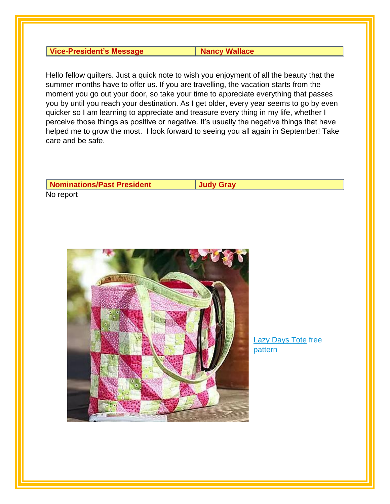| <b>Vice-President's Message</b> |  |
|---------------------------------|--|
|---------------------------------|--|

**Nancy Wallace** 

Hello fellow quilters. Just a quick note to wish you enjoyment of all the beauty that the summer months have to offer us. If you are travelling, the vacation starts from the moment you go out your door, so take your time to appreciate everything that passes you by until you reach your destination. As I get older, every year seems to go by even quicker so I am learning to appreciate and treasure every thing in my life, whether I perceive those things as positive or negative. It's usually the negative things that have helped me to grow the most. I look forward to seeing you all again in September! Take care and be safe.

| <b>Nominations/Past President</b> | Judv Grav |
|-----------------------------------|-----------|
| No report                         |           |



**[Lazy Days Tote](https://static.onecms.io/wp-content/uploads/pdfs/sites/42/2019/10/Lazy-Days-Tote.pdf) free** pattern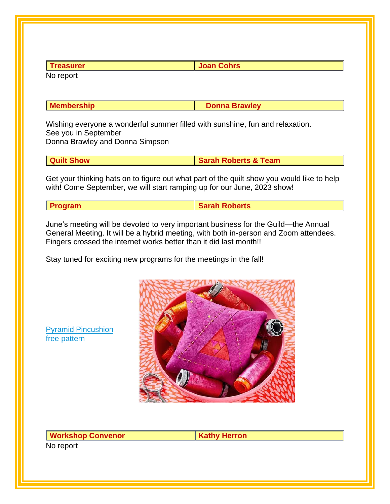| <b>I</b> reasurer | <b>Joan Cohrs</b> |
|-------------------|-------------------|
| No report         |                   |

**Membership Donna Brawley** 

Wishing everyone a wonderful summer filled with sunshine, fun and relaxation. See you in September Donna Brawley and Donna Simpson

| <b>Quilt Show</b> | <b>Sarah Roberts &amp; Team</b> |
|-------------------|---------------------------------|

Get your thinking hats on to figure out what part of the quilt show you would like to help with! Come September, we will start ramping up for our June, 2023 show!

| <b>Program</b> | Sarah Roberts |
|----------------|---------------|

June's meeting will be devoted to very important business for the Guild—the Annual General Meeting. It will be a hybrid meeting, with both in-person and Zoom attendees. Fingers crossed the internet works better than it did last month!!

Stay tuned for exciting new programs for the meetings in the fall!



[Pyramid Pincushion](https://static.onecms.io/wp-content/uploads/pdfs/sites/42/2021/06/17/Pyramid-Pincushion.pdf) free pattern

**Workshop Convenor <b>Kathy Herron** No report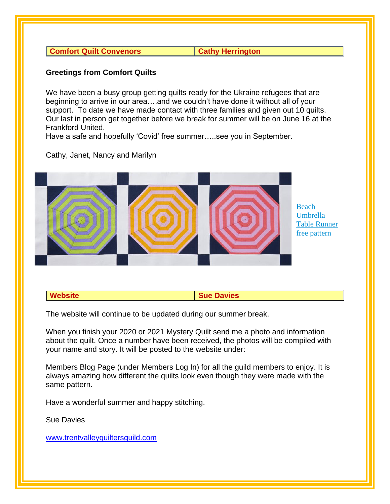**Comfort Quilt Convenors Comfort Quilt Convenors** 

#### **Greetings from Comfort Quilts**

We have been a busy group getting quilts ready for the Ukraine refugees that are beginning to arrive in our area….and we couldn't have done it without all of your support. To date we have made contact with three families and given out 10 quilts. Our last in person get together before we break for summer will be on June 16 at the Frankford United.

Have a safe and hopefully 'Covid' free summer…..see you in September.

Cathy, Janet, Nancy and Marilyn



#### **Website Sue Davies Sue Davies**

The website will continue to be updated during our summer break.

When you finish your 2020 or 2021 Mystery Quilt send me a photo and information about the quilt. Once a number have been received, the photos will be compiled with your name and story. It will be posted to the website under:

Members Blog Page (under Members Log In) for all the guild members to enjoy. It is always amazing how different the quilts look even though they were made with the same pattern.

Have a wonderful summer and happy stitching.

Sue Davies

[www.trentvalleyquiltersguild.com](http://www.trentvalleyquiltersguild.com/)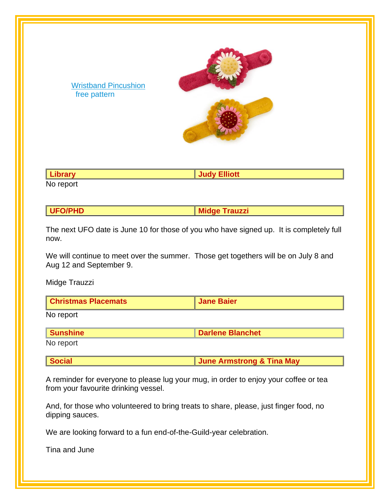

**Library Judy Elliott**

No report

[Wristband Pincushion](https://static.onecms.io/wp-content/uploads/pdfs/sites/42/2022/02/25/Wristband-Pincushions.pdf)

free pattern

**UFO/PHD Midge Trauzzi** 

The next UFO date is June 10 for those of you who have signed up. It is completely full now.

We will continue to meet over the summer. Those get togethers will be on July 8 and Aug 12 and September 9.

Midge Trauzzi

| <b>Christmas Placemats</b><br><b>Jane Baier</b> |
|-------------------------------------------------|
|-------------------------------------------------|

No report

| <i><b>Inshine</b></i> | <b>Darlene Blanchet</b> |
|-----------------------|-------------------------|
| No report             |                         |

No report

| <b>Social</b> | <b>June Armstrong &amp; Tina May</b> |  |
|---------------|--------------------------------------|--|
|               |                                      |  |

A reminder for everyone to please lug your mug, in order to enjoy your coffee or tea from your favourite drinking vessel.

And, for those who volunteered to bring treats to share, please, just finger food, no dipping sauces.

We are looking forward to a fun end-of-the-Guild-year celebration.

Tina and June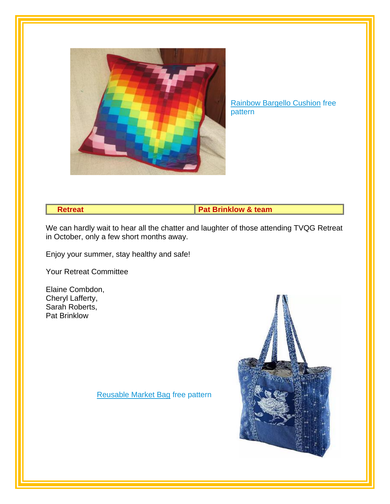

[Rainbow Bargello Cushion](https://www.pelennapatchworks.co.uk/user/downloads/Rainbow%20Bargello%20Cushion-1-min.pdf) free pattern

**Retreat Pat Brinklow & team** 

We can hardly wait to hear all the chatter and laughter of those attending TVQG Retreat in October, only a few short months away.

Enjoy your summer, stay healthy and safe!

Your Retreat Committee

Elaine Combdon, Cheryl Lafferty, Sarah Roberts, Pat Brinklow

[Reusable Market](https://www.allpeoplequilt.com/bags-pillows-gifts/bags-and-purses/reusable-market-bag) Bag free pattern

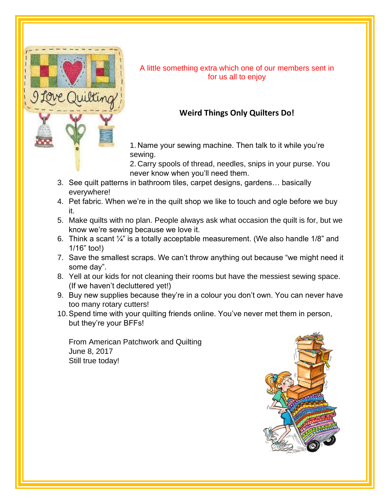

A little something extra which one of our members sent in for us all to enjoy

#### **Weird Things Only Quilters Do!**

1. Name your sewing machine. Then talk to it while you're sewing.

2. Carry spools of thread, needles, snips in your purse. You never know when you'll need them.

- 3. See quilt patterns in bathroom tiles, carpet designs, gardens… basically everywhere!
- 4. Pet fabric. When we're in the quilt shop we like to touch and ogle before we buy it.
- 5. Make quilts with no plan. People always ask what occasion the quilt is for, but we know we're sewing because we love it.
- 6. Think a scant  $\frac{1}{4}$ " is a totally acceptable measurement. (We also handle 1/8" and 1/16" too!)
- 7. Save the smallest scraps. We can't throw anything out because "we might need it some day".
- 8. Yell at our kids for not cleaning their rooms but have the messiest sewing space. (If we haven't decluttered yet!)
- 9. Buy new supplies because they're in a colour you don't own. You can never have too many rotary cutters!
- 10.Spend time with your quilting friends online. You've never met them in person, but they're your BFFs!

From American Patchwork and Quilting June 8, 2017 Still true today!

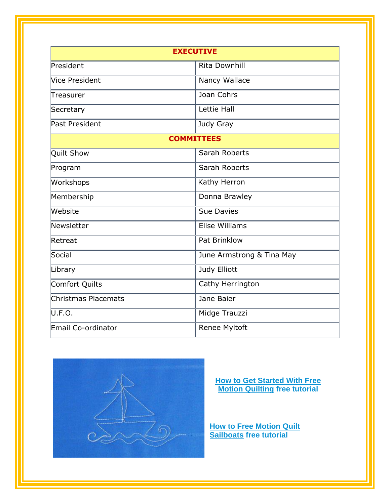| <b>EXECUTIVE</b>          |                           |
|---------------------------|---------------------------|
| $\blacksquare$ President  | <b>Rita Downhill</b>      |
| Vice President            | Nancy Wallace             |
| Treasurer                 | Joan Cohrs                |
| Secretary                 | Lettie Hall               |
| Past President            | Judy Gray                 |
| <b>COMMITTEES</b>         |                           |
| Quilt Show                | Sarah Roberts             |
| Program                   | Sarah Roberts             |
| Workshops                 | Kathy Herron              |
| Membership                | Donna Brawley             |
| Website                   | <b>Sue Davies</b>         |
| $\blacksquare$ Newsletter | <b>Elise Williams</b>     |
| Retreat                   | Pat Brinklow              |
| Social                    | June Armstrong & Tina May |
| Library                   | Judy Elliott              |
| Comfort Quilts            | Cathy Herrington          |
| Christmas Placemats       | Jane Baier                |
| U.F.O.                    | Midge Trauzzi             |
| Email Co-ordinator        | Renee Myltoft             |



**[How to Get Started With Free](https://weallsew.com/how-to-get-started-with-free-motion-quilting/)  [Motion Quilting](https://weallsew.com/how-to-get-started-with-free-motion-quilting/) free tutorial**

**How to Free Motion Quilt [Sailboats](https://weallsew.com/how-to-free-motion-quilt-sailboats/) free tutorial**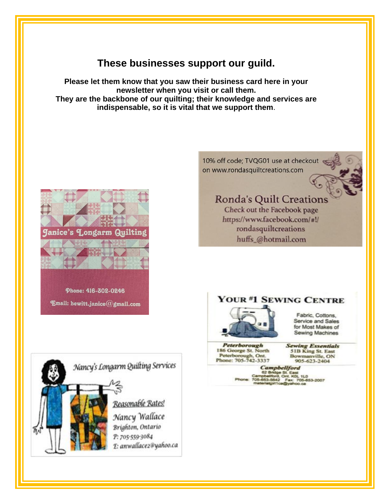## These businesses support our guild.

Please let them know that you saw their business card here in your newsletter when you visit or call them. They are the backbone of our quilting; their knowledge and services are indispensable, so it is vital that we support them.



Nancy's Longarm Quilting Services Reasonable Rates! Nancy Wallace Brighton, Ontario P: 705-559-3084 E: anwallace2@yahoo.ca 10% off code; TVQG01 use at checkout on www.rondasquiltcreations.com

## **Ronda's Quilt Creations**

Check out the Facebook page https://www.facebook.com/#!/ rondasquiltcreations huffs\_@hotmail.com

#### YOUR #1 SEWING CENTRE



Fabric, Cottons, Service and Sales for Most Makes of Sewing Machines

Peterborough 186 George St. North Peterborough, Ont.<br>Phone: 705-742-3337 **Sewing Essentials** 51B King St. East Bowmanville, ON 905-623-2404

**Campbellford** - 42 Bridge St. East<br>pbellford, Orit. KOL 1L0<br>853-5642 - Fax: 705-653-2007<br>erialgirl1ca@yahoo.ca 62.8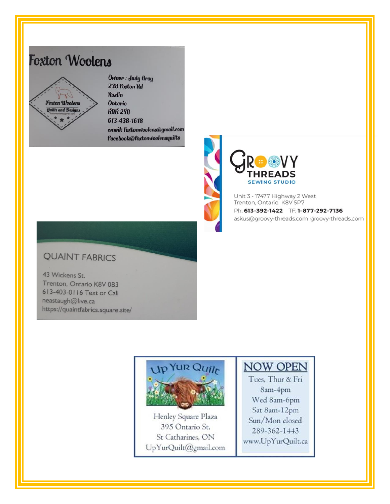# **Foxton Woolens**



Owner: Judy Gray 238 Foxton Rd **Roslin Ontario ROR 2YO** 613-438-1618 email: foxtonwoolens@gmail.com **facebook@foxtonwoolensquilts** 



Unit 3 - 17477 Highway 2 West Trenton, Ontario K8V 5P7 Ph: 613-392-1422 TF: 1-877-292-7136 askus@groovy-threads.com groovy-threads.com

#### **QUAINT FABRICS**

43 Wickens St. Trenton, Ontario K8V 0B3 613-403-0116 Text or Call neastaugh@live.ca https://quaintfabrics.square.site/



Henley Square Plaza 395 Ontario St. St Catharines, ON UpYurQuilt@gmail.com

## NOW OPEN

Tues, Thur & Fri 8am-4pm Wed 8am-6pm Sat 8am-12pm Sun/Mon closed 289-362-1443 www.UpYurQuilt.ca